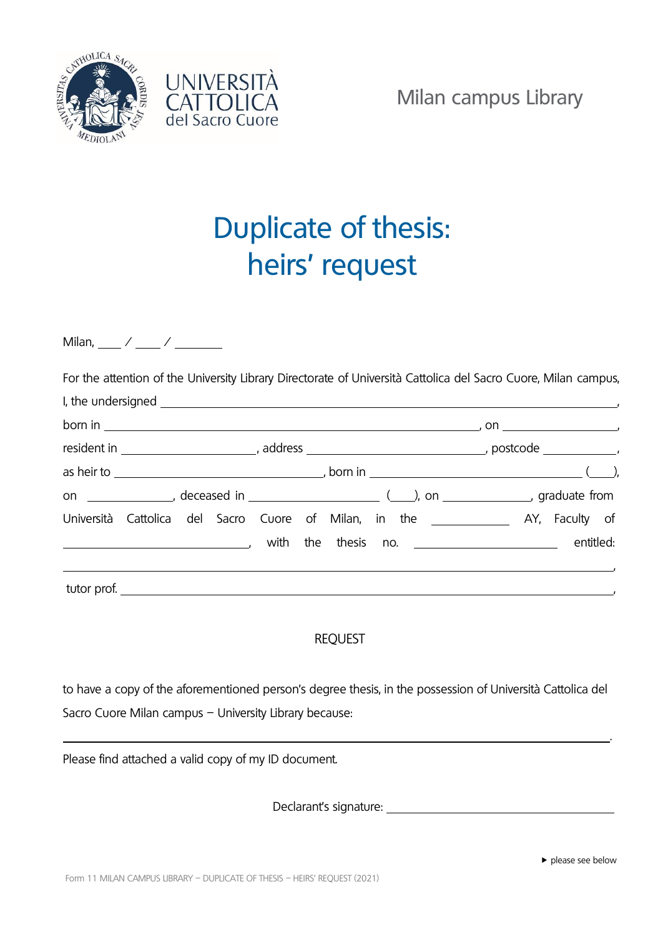



## Duplicate of thesis: heirs' request

Milan,  $\frac{1}{2}$  /  $\frac{1}{2}$  /  $\frac{1}{2}$ 

For the attention of the University Library Directorate of Università Cattolica del Sacro Cuore, Milan campus,

|  |  |  |  |  |  |  |  |  |  | Università Cattolica del Sacro Cuore of Milan, in the _____________ AY, Faculty of |  |  |  |  |
|--|--|--|--|--|--|--|--|--|--|------------------------------------------------------------------------------------|--|--|--|--|
|  |  |  |  |  |  |  |  |  |  |                                                                                    |  |  |  |  |
|  |  |  |  |  |  |  |  |  |  |                                                                                    |  |  |  |  |
|  |  |  |  |  |  |  |  |  |  |                                                                                    |  |  |  |  |

## REQUEST

to have a copy of the aforementioned person's degree thesis, in the possession of Università Cattolica del Sacro Cuore Milan campus – University Library because:

Please find attached a valid copy of my ID document.

Declarant's signature:

.